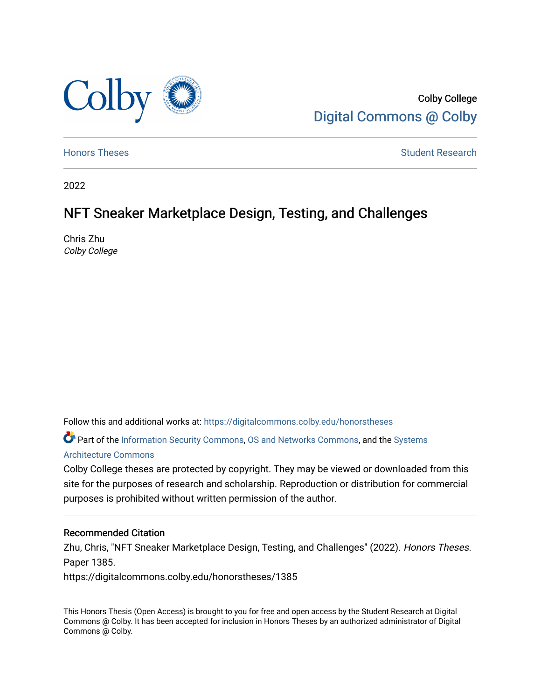

Colby College [Digital Commons @ Colby](https://digitalcommons.colby.edu/) 

[Honors Theses](https://digitalcommons.colby.edu/honorstheses) **Student Research** Student Research

2022

# NFT Sneaker Marketplace Design, Testing, and Challenges

Chris Zhu Colby College

Follow this and additional works at: [https://digitalcommons.colby.edu/honorstheses](https://digitalcommons.colby.edu/honorstheses?utm_source=digitalcommons.colby.edu%2Fhonorstheses%2F1385&utm_medium=PDF&utm_campaign=PDFCoverPages) 

Part of the [Information Security Commons](https://network.bepress.com/hgg/discipline/1247?utm_source=digitalcommons.colby.edu%2Fhonorstheses%2F1385&utm_medium=PDF&utm_campaign=PDFCoverPages), [OS and Networks Commons,](https://network.bepress.com/hgg/discipline/149?utm_source=digitalcommons.colby.edu%2Fhonorstheses%2F1385&utm_medium=PDF&utm_campaign=PDFCoverPages) and the [Systems](https://network.bepress.com/hgg/discipline/144?utm_source=digitalcommons.colby.edu%2Fhonorstheses%2F1385&utm_medium=PDF&utm_campaign=PDFCoverPages) [Architecture Commons](https://network.bepress.com/hgg/discipline/144?utm_source=digitalcommons.colby.edu%2Fhonorstheses%2F1385&utm_medium=PDF&utm_campaign=PDFCoverPages) 

Colby College theses are protected by copyright. They may be viewed or downloaded from this site for the purposes of research and scholarship. Reproduction or distribution for commercial purposes is prohibited without written permission of the author.

# Recommended Citation

Zhu, Chris, "NFT Sneaker Marketplace Design, Testing, and Challenges" (2022). Honors Theses. Paper 1385.

https://digitalcommons.colby.edu/honorstheses/1385

This Honors Thesis (Open Access) is brought to you for free and open access by the Student Research at Digital Commons @ Colby. It has been accepted for inclusion in Honors Theses by an authorized administrator of Digital Commons @ Colby.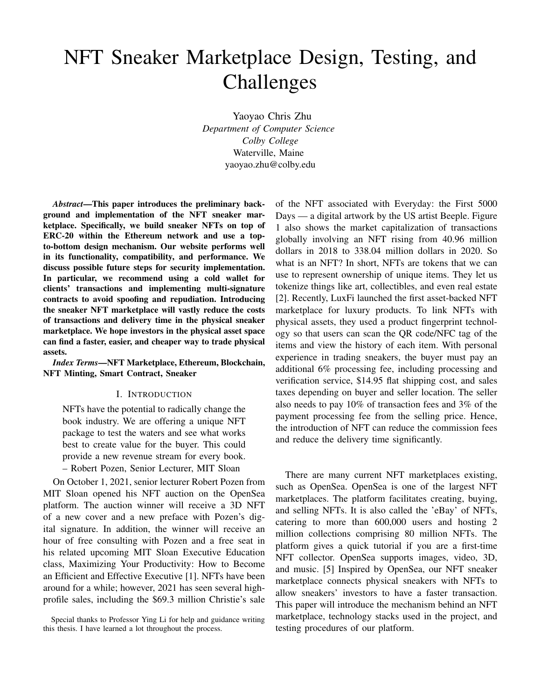# NFT Sneaker Marketplace Design, Testing, and Challenges

Yaoyao Chris Zhu *Department of Computer Science Colby College* Waterville, Maine yaoyao.zhu@colby.edu

*Abstract*—This paper introduces the preliminary background and implementation of the NFT sneaker marketplace. Specifically, we build sneaker NFTs on top of ERC-20 within the Ethereum network and use a topto-bottom design mechanism. Our website performs well in its functionality, compatibility, and performance. We discuss possible future steps for security implementation. In particular, we recommend using a cold wallet for clients' transactions and implementing multi-signature contracts to avoid spoofing and repudiation. Introducing the sneaker NFT marketplace will vastly reduce the costs of transactions and delivery time in the physical sneaker marketplace. We hope investors in the physical asset space can find a faster, easier, and cheaper way to trade physical assets.

*Index Terms*—NFT Marketplace, Ethereum, Blockchain, NFT Minting, Smart Contract, Sneaker

#### I. INTRODUCTION

NFTs have the potential to radically change the book industry. We are offering a unique NFT package to test the waters and see what works best to create value for the buyer. This could provide a new revenue stream for every book. – Robert Pozen, Senior Lecturer, MIT Sloan

On October 1, 2021, senior lecturer Robert Pozen from MIT Sloan opened his NFT auction on the OpenSea platform. The auction winner will receive a 3D NFT of a new cover and a new preface with Pozen's digital signature. In addition, the winner will receive an hour of free consulting with Pozen and a free seat in his related upcoming MIT Sloan Executive Education class, Maximizing Your Productivity: How to Become an Efficient and Effective Executive [1]. NFTs have been around for a while; however, 2021 has seen several highprofile sales, including the \$69.3 million Christie's sale

of the NFT associated with Everyday: the First 5000 Days — a digital artwork by the US artist Beeple. Figure 1 also shows the market capitalization of transactions globally involving an NFT rising from 40.96 million dollars in 2018 to 338.04 million dollars in 2020. So what is an NFT? In short, NFTs are tokens that we can use to represent ownership of unique items. They let us tokenize things like art, collectibles, and even real estate [2]. Recently, LuxFi launched the first asset-backed NFT marketplace for luxury products. To link NFTs with physical assets, they used a product fingerprint technology so that users can scan the QR code/NFC tag of the items and view the history of each item. With personal experience in trading sneakers, the buyer must pay an additional 6% processing fee, including processing and verification service, \$14.95 flat shipping cost, and sales taxes depending on buyer and seller location. The seller also needs to pay 10% of transaction fees and 3% of the payment processing fee from the selling price. Hence, the introduction of NFT can reduce the commission fees and reduce the delivery time significantly.

There are many current NFT marketplaces existing, such as OpenSea. OpenSea is one of the largest NFT marketplaces. The platform facilitates creating, buying, and selling NFTs. It is also called the 'eBay' of NFTs, catering to more than 600,000 users and hosting 2 million collections comprising 80 million NFTs. The platform gives a quick tutorial if you are a first-time NFT collector. OpenSea supports images, video, 3D, and music. [5] Inspired by OpenSea, our NFT sneaker marketplace connects physical sneakers with NFTs to allow sneakers' investors to have a faster transaction. This paper will introduce the mechanism behind an NFT marketplace, technology stacks used in the project, and testing procedures of our platform.

Special thanks to Professor Ying Li for help and guidance writing this thesis. I have learned a lot throughout the process.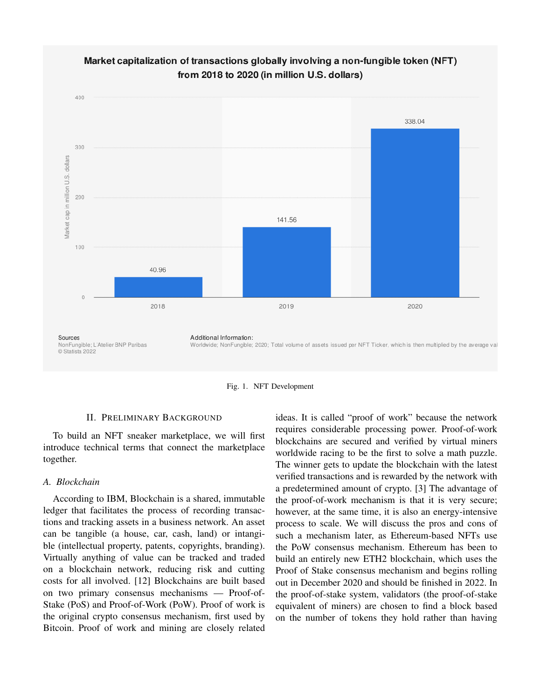





#### II. PRELIMINARY BACKGROUND

To build an NFT sneaker marketplace, we will first introduce technical terms that connect the marketplace together.

#### *A. Blockchain*

According to IBM, Blockchain is a shared, immutable ledger that facilitates the process of recording transactions and tracking assets in a business network. An asset can be tangible (a house, car, cash, land) or intangible (intellectual property, patents, copyrights, branding). Virtually anything of value can be tracked and traded on a blockchain network, reducing risk and cutting costs for all involved. [12] Blockchains are built based on two primary consensus mechanisms — Proof-of-Stake (PoS) and Proof-of-Work (PoW). Proof of work is the original crypto consensus mechanism, first used by Bitcoin. Proof of work and mining are closely related

ideas. It is called "proof of work" because the network requires considerable processing power. Proof-of-work blockchains are secured and verified by virtual miners worldwide racing to be the first to solve a math puzzle. The winner gets to update the blockchain with the latest verified transactions and is rewarded by the network with a predetermined amount of crypto. [3] The advantage of the proof-of-work mechanism is that it is very secure; however, at the same time, it is also an energy-intensive process to scale. We will discuss the pros and cons of such a mechanism later, as Ethereum-based NFTs use the PoW consensus mechanism. Ethereum has been to build an entirely new ETH2 blockchain, which uses the Proof of Stake consensus mechanism and begins rolling out in December 2020 and should be finished in 2022. In the proof-of-stake system, validators (the proof-of-stake equivalent of miners) are chosen to find a block based on the number of tokens they hold rather than having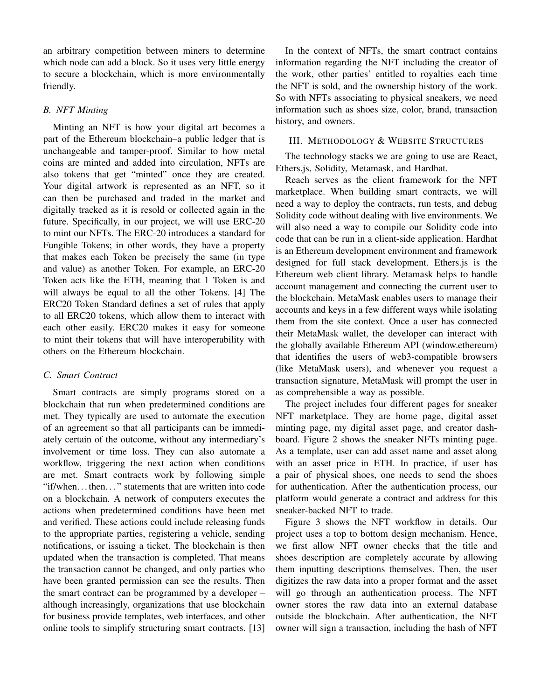an arbitrary competition between miners to determine which node can add a block. So it uses very little energy to secure a blockchain, which is more environmentally friendly.

#### *B. NFT Minting*

Minting an NFT is how your digital art becomes a part of the Ethereum blockchain–a public ledger that is unchangeable and tamper-proof. Similar to how metal coins are minted and added into circulation, NFTs are also tokens that get "minted" once they are created. Your digital artwork is represented as an NFT, so it can then be purchased and traded in the market and digitally tracked as it is resold or collected again in the future. Specifically, in our project, we will use ERC-20 to mint our NFTs. The ERC-20 introduces a standard for Fungible Tokens; in other words, they have a property that makes each Token be precisely the same (in type and value) as another Token. For example, an ERC-20 Token acts like the ETH, meaning that 1 Token is and will always be equal to all the other Tokens. [4] The ERC20 Token Standard defines a set of rules that apply to all ERC20 tokens, which allow them to interact with each other easily. ERC20 makes it easy for someone to mint their tokens that will have interoperability with others on the Ethereum blockchain.

# *C. Smart Contract*

Smart contracts are simply programs stored on a blockchain that run when predetermined conditions are met. They typically are used to automate the execution of an agreement so that all participants can be immediately certain of the outcome, without any intermediary's involvement or time loss. They can also automate a workflow, triggering the next action when conditions are met. Smart contracts work by following simple "if/when. . . then. . . " statements that are written into code on a blockchain. A network of computers executes the actions when predetermined conditions have been met and verified. These actions could include releasing funds to the appropriate parties, registering a vehicle, sending notifications, or issuing a ticket. The blockchain is then updated when the transaction is completed. That means the transaction cannot be changed, and only parties who have been granted permission can see the results. Then the smart contract can be programmed by a developer – although increasingly, organizations that use blockchain for business provide templates, web interfaces, and other online tools to simplify structuring smart contracts. [13]

In the context of NFTs, the smart contract contains information regarding the NFT including the creator of the work, other parties' entitled to royalties each time the NFT is sold, and the ownership history of the work. So with NFTs associating to physical sneakers, we need information such as shoes size, color, brand, transaction history, and owners.

## III. METHODOLOGY & WEBSITE STRUCTURES

The technology stacks we are going to use are React, Ethers.js, Solidity, Metamask, and Hardhat.

Reach serves as the client framework for the NFT marketplace. When building smart contracts, we will need a way to deploy the contracts, run tests, and debug Solidity code without dealing with live environments. We will also need a way to compile our Solidity code into code that can be run in a client-side application. Hardhat is an Ethereum development environment and framework designed for full stack development. Ethers.js is the Ethereum web client library. Metamask helps to handle account management and connecting the current user to the blockchain. MetaMask enables users to manage their accounts and keys in a few different ways while isolating them from the site context. Once a user has connected their MetaMask wallet, the developer can interact with the globally available Ethereum API (window.ethereum) that identifies the users of web3-compatible browsers (like MetaMask users), and whenever you request a transaction signature, MetaMask will prompt the user in as comprehensible a way as possible.

The project includes four different pages for sneaker NFT marketplace. They are home page, digital asset minting page, my digital asset page, and creator dashboard. Figure 2 shows the sneaker NFTs minting page. As a template, user can add asset name and asset along with an asset price in ETH. In practice, if user has a pair of physical shoes, one needs to send the shoes for authentication. After the authentication process, our platform would generate a contract and address for this sneaker-backed NFT to trade.

Figure 3 shows the NFT workflow in details. Our project uses a top to bottom design mechanism. Hence, we first allow NFT owner checks that the title and shoes description are completely accurate by allowing them inputting descriptions themselves. Then, the user digitizes the raw data into a proper format and the asset will go through an authentication process. The NFT owner stores the raw data into an external database outside the blockchain. After authentication, the NFT owner will sign a transaction, including the hash of NFT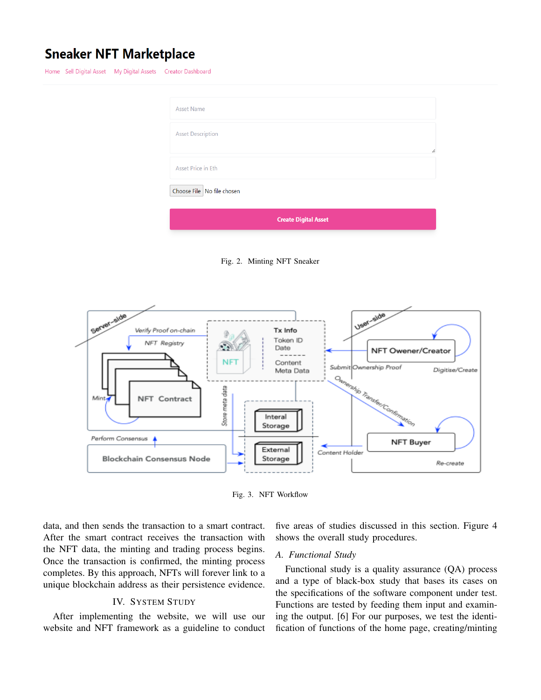# **Sneaker NFT Marketplace**

Home Sell Digital Asset My Digital Assets Creator Dashboard

| <b>Asset Name</b>          |                             |  |
|----------------------------|-----------------------------|--|
| <b>Asset Description</b>   |                             |  |
| Asset Price in Eth         |                             |  |
| Choose File No file chosen |                             |  |
|                            | <b>Create Digital Asset</b> |  |

Fig. 2. Minting NFT Sneaker



Fig. 3. NFT Workflow

data, and then sends the transaction to a smart contract. After the smart contract receives the transaction with the NFT data, the minting and trading process begins. Once the transaction is confirmed, the minting process completes. By this approach, NFTs will forever link to a unique blockchain address as their persistence evidence.

#### IV. SYSTEM STUDY

After implementing the website, we will use our website and NFT framework as a guideline to conduct five areas of studies discussed in this section. Figure 4 shows the overall study procedures.

#### *A. Functional Study*

Functional study is a quality assurance (QA) process and a type of black-box study that bases its cases on the specifications of the software component under test. Functions are tested by feeding them input and examining the output. [6] For our purposes, we test the identification of functions of the home page, creating/minting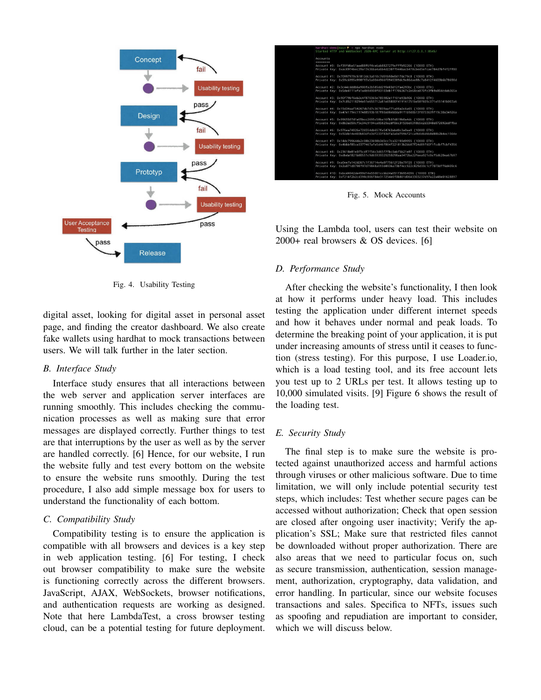

Fig. 4. Usability Testing

digital asset, looking for digital asset in personal asset page, and finding the creator dashboard. We also create fake wallets using hardhat to mock transactions between users. We will talk further in the later section.

#### *B. Interface Study*

Interface study ensures that all interactions between the web server and application server interfaces are running smoothly. This includes checking the communication processes as well as making sure that error messages are displayed correctly. Further things to test are that interruptions by the user as well as by the server are handled correctly. [6] Hence, for our website, I run the website fully and test every bottom on the website to ensure the website runs smoothly. During the test procedure, I also add simple message box for users to understand the functionality of each bottom.

#### *C. Compatibility Study*

Compatibility testing is to ensure the application is compatible with all browsers and devices is a key step in web application testing. [6] For testing, I check out browser compatibility to make sure the website is functioning correctly across the different browsers. JavaScript, AJAX, WebSockets, browser notifications, and authentication requests are working as designed. Note that here LambdaTest, a cross browser testing cloud, can be a potential testing for future deployment.

|                      | hardhat-demolmain $\rightarrow$ - nox hardhat node<br>Started HTTP and WebSocket JSON-RPC server at http://127.0.0.1:8545/ |
|----------------------|----------------------------------------------------------------------------------------------------------------------------|
| Accounts<br>-------- |                                                                                                                            |
|                      | Account #0: 0xf39fd6e51aad88f6f4ce6ab8827279cfffb92266 (10000 ETH)                                                         |
|                      | Private Key: 0xac0974bec39a17e36ba4a6b4d238ff944bacb478cbed5efcae784d7bf4f2ff80                                            |
|                      | Account #1: 0x70997970c51812dc3a010c7d01b50e0d17dc79c8 (10000 ETH)                                                         |
|                      | Private Key: 0x59c6995e998f97a5a0044966f0945389dc9e86dae88c7a8412f4603b6b78690d                                            |
|                      | Account #2: 0x3c44cdddb6a900fa2b585dd299e03d12fa4293bc (10000 ETH)                                                         |
|                      | Private Key: 0x5de4111afa1a4b94908f83103eb1f1706367c2e68ca870fc3fb9a804cdab365a                                            |
|                      | Account #3: 0x90f79bf6eb2c4f870365e785982e1f101e93b906 (10000 ETH)                                                         |
|                      | Private Key: 0x7c852118294e51e653712a81e05800f419141751be58f605c371e15141b007a6                                            |
|                      | Account #4: 0x15d34aaf54267db7d7c367839aaf71a00a2c6a65 (10000 ETH)                                                         |
|                      | Private Key: 0x47e179ec197488593b187f80a00eb0da91f1b9d0b13f8733639f19c30a34926a                                            |
|                      | Account #5: 0x9965507d1a55bcc2695c58ba16fb37d819b0a4dc (10000 ETH)                                                         |
|                      | Private Kev: 0x8b3a350cf5c34c9194ca85829a2df0ec3153be0318b5e2d3348e872092edffba                                            |
|                      | Account #6: 0x976ea74026e726554db657fa54763abd0c3a0aa9 (10000 ETH)                                                         |
|                      | Private Key: 0x92db14e403b83dfe3df233f83dfa3a0d7096f21ca9b0d6d6b8d88b2b4ec1564e                                            |
|                      | Account #7: 0x14dc79964da2c08b23698b3d3cc7ca32193d9955 (10000 ETH)                                                         |
|                      | Private Key: 0x4bbbf85ce3377467afe5d46f804f221813b2bb87f24d81f60f1fcdbf7cbf4356                                            |
|                      | Account #8: 0x23618e81e3f5cdf7f54c3d65f7fbc0abf5b21e8f (10000 ETH)                                                         |
|                      | Private Kev: 0xdbda1821b80551c9d65939329250298aa3472ba22feea921c0cf5d620ea67b97                                            |
|                      | Account #9: 0xa0ee7a142d267c1f36714e4a8f75612f20a79720 (10000 ETH)                                                         |
|                      | Private Key: 0x2a871d0798f97d79848a013d4936a73bf4cc922c825d33c1cf7073dff6d409c6                                            |
|                      | Account #10: 0xbcd4042de499d14e55001ccbb24a551f3b954096 (10000 ETH)                                                        |
|                      | Private Key: 0xf214f2b2cd398c806f84e317254e0f0b801d0643303237d97a22a48e01628897                                            |

Fig. 5. Mock Accounts

Using the Lambda tool, users can test their website on 2000+ real browsers & OS devices. [6]

#### *D. Performance Study*

After checking the website's functionality, I then look at how it performs under heavy load. This includes testing the application under different internet speeds and how it behaves under normal and peak loads. To determine the breaking point of your application, it is put under increasing amounts of stress until it ceases to function (stress testing). For this purpose, I use Loader.io, which is a load testing tool, and its free account lets you test up to 2 URLs per test. It allows testing up to 10,000 simulated visits. [9] Figure 6 shows the result of the loading test.

#### *E. Security Study*

The final step is to make sure the website is protected against unauthorized access and harmful actions through viruses or other malicious software. Due to time limitation, we will only include potential security test steps, which includes: Test whether secure pages can be accessed without authorization; Check that open session are closed after ongoing user inactivity; Verify the application's SSL; Make sure that restricted files cannot be downloaded without proper authorization. There are also areas that we need to particular focus on, such as secure transmission, authentication, session management, authorization, cryptography, data validation, and error handling. In particular, since our website focuses transactions and sales. Specifica to NFTs, issues such as spoofing and repudiation are important to consider, which we will discuss below.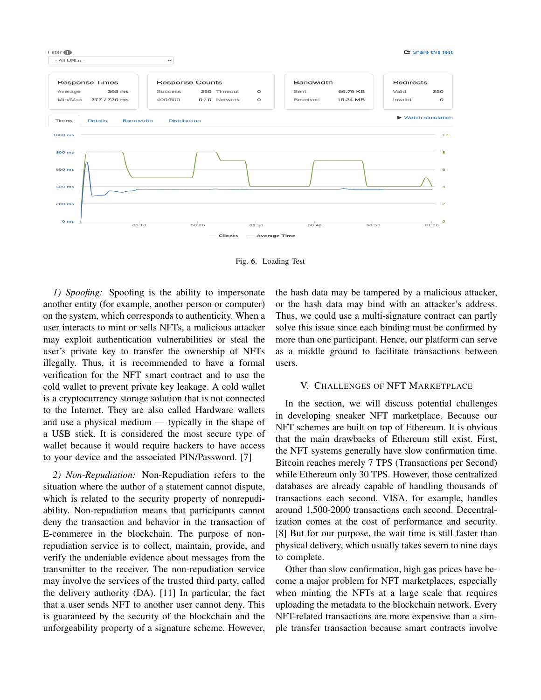

Fig. 6. Loading Test

*1) Spoofing:* Spoofing is the ability to impersonate another entity (for example, another person or computer) on the system, which corresponds to authenticity. When a user interacts to mint or sells NFTs, a malicious attacker may exploit authentication vulnerabilities or steal the user's private key to transfer the ownership of NFTs illegally. Thus, it is recommended to have a formal verification for the NFT smart contract and to use the cold wallet to prevent private key leakage. A cold wallet is a cryptocurrency storage solution that is not connected to the Internet. They are also called Hardware wallets and use a physical medium — typically in the shape of a USB stick. It is considered the most secure type of wallet because it would require hackers to have access to your device and the associated PIN/Password. [7]

*2) Non-Repudiation:* Non-Repudiation refers to the situation where the author of a statement cannot dispute, which is related to the security property of nonrepudiability. Non-repudiation means that participants cannot deny the transaction and behavior in the transaction of E-commerce in the blockchain. The purpose of nonrepudiation service is to collect, maintain, provide, and verify the undeniable evidence about messages from the transmitter to the receiver. The non-repudiation service may involve the services of the trusted third party, called the delivery authority (DA). [11] In particular, the fact that a user sends NFT to another user cannot deny. This is guaranteed by the security of the blockchain and the unforgeability property of a signature scheme. However, the hash data may be tampered by a malicious attacker, or the hash data may bind with an attacker's address. Thus, we could use a multi-signature contract can partly solve this issue since each binding must be confirmed by more than one participant. Hence, our platform can serve as a middle ground to facilitate transactions between users.

#### V. CHALLENGES OF NFT MARKETPLACE

In the section, we will discuss potential challenges in developing sneaker NFT marketplace. Because our NFT schemes are built on top of Ethereum. It is obvious that the main drawbacks of Ethereum still exist. First, the NFT systems generally have slow confirmation time. Bitcoin reaches merely 7 TPS (Transactions per Second) while Ethereum only 30 TPS. However, those centralized databases are already capable of handling thousands of transactions each second. VISA, for example, handles around 1,500-2000 transactions each second. Decentralization comes at the cost of performance and security. [8] But for our purpose, the wait time is still faster than physical delivery, which usually takes severn to nine days to complete.

Other than slow confirmation, high gas prices have become a major problem for NFT marketplaces, especially when minting the NFTs at a large scale that requires uploading the metadata to the blockchain network. Every NFT-related transactions are more expensive than a simple transfer transaction because smart contracts involve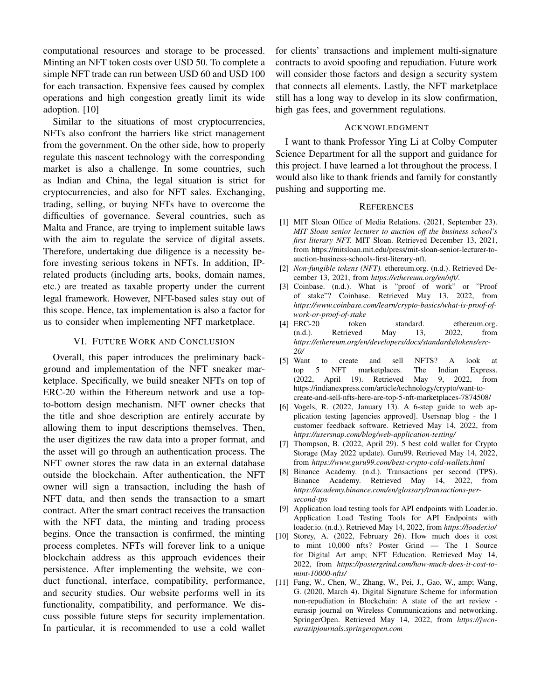computational resources and storage to be processed. Minting an NFT token costs over USD 50. To complete a simple NFT trade can run between USD 60 and USD 100 for each transaction. Expensive fees caused by complex operations and high congestion greatly limit its wide adoption. [10]

Similar to the situations of most cryptocurrencies, NFTs also confront the barriers like strict management from the government. On the other side, how to properly regulate this nascent technology with the corresponding market is also a challenge. In some countries, such as Indian and China, the legal situation is strict for cryptocurrencies, and also for NFT sales. Exchanging, trading, selling, or buying NFTs have to overcome the difficulties of governance. Several countries, such as Malta and France, are trying to implement suitable laws with the aim to regulate the service of digital assets. Therefore, undertaking due diligence is a necessity before investing serious tokens in NFTs. In addition, IPrelated products (including arts, books, domain names, etc.) are treated as taxable property under the current legal framework. However, NFT-based sales stay out of this scope. Hence, tax implementation is also a factor for us to consider when implementing NFT marketplace.

## VI. FUTURE WORK AND CONCLUSION

Overall, this paper introduces the preliminary background and implementation of the NFT sneaker marketplace. Specifically, we build sneaker NFTs on top of ERC-20 within the Ethereum network and use a topto-bottom design mechanism. NFT owner checks that the title and shoe description are entirely accurate by allowing them to input descriptions themselves. Then, the user digitizes the raw data into a proper format, and the asset will go through an authentication process. The NFT owner stores the raw data in an external database outside the blockchain. After authentication, the NFT owner will sign a transaction, including the hash of NFT data, and then sends the transaction to a smart contract. After the smart contract receives the transaction with the NFT data, the minting and trading process begins. Once the transaction is confirmed, the minting process completes. NFTs will forever link to a unique blockchain address as this approach evidences their persistence. After implementing the website, we conduct functional, interface, compatibility, performance, and security studies. Our website performs well in its functionality, compatibility, and performance. We discuss possible future steps for security implementation. In particular, it is recommended to use a cold wallet

for clients' transactions and implement multi-signature contracts to avoid spoofing and repudiation. Future work will consider those factors and design a security system that connects all elements. Lastly, the NFT marketplace still has a long way to develop in its slow confirmation, high gas fees, and government regulations.

# ACKNOWLEDGMENT

I want to thank Professor Ying Li at Colby Computer Science Department for all the support and guidance for this project. I have learned a lot throughout the process. I would also like to thank friends and family for constantly pushing and supporting me.

# **REFERENCES**

- [1] MIT Sloan Office of Media Relations. (2021, September 23). *MIT Sloan senior lecturer to auction off the business school's first literary NFT.* MIT Sloan. Retrieved December 13, 2021, from https://mitsloan.mit.edu/press/mit-sloan-senior-lecturer-toauction-business-schools-first-literary-nft.
- [2] *Non-fungible tokens (NFT).* ethereum.org. (n.d.). Retrieved December 13, 2021, from *https://ethereum.org/en/nft/*.
- [3] Coinbase. (n.d.). What is "proof of work" or "Proof of stake"? Coinbase. Retrieved May 13, 2022, from *https://www.coinbase.com/learn/crypto-basics/what-is-proof-ofwork-or-proof-of-stake*
- [4] ERC-20 token standard. ethereum.org.<br>
(n.d.). Retrieved May 13, 2022, from (n.d.). Retrieved May 13, 2022, from *https://ethereum.org/en/developers/docs/standards/tokens/erc-20/*
- [5] Want to create and sell NFTS? A look at top 5 NFT marketplaces. The Indian Express. (2022, April 19). Retrieved May 9, 2022, from https://indianexpress.com/article/technology/crypto/want-tocreate-and-sell-nfts-here-are-top-5-nft-marketplaces-7874508/
- [6] Vogels, R. (2022, January 13). A 6-step guide to web application testing [agencies approved]. Usersnap blog - the 1 customer feedback software. Retrieved May 14, 2022, from *https://usersnap.com/blog/web-application-testing/*
- [7] Thompson, B. (2022, April 29). 5 best cold wallet for Crypto Storage (May 2022 update). Guru99. Retrieved May 14, 2022, from *https://www.guru99.com/best-crypto-cold-wallets.html*
- [8] Binance Academy. (n.d.). Transactions per second (TPS). Binance Academy. Retrieved May 14, 2022, from *https://academy.binance.com/en/glossary/transactions-persecond-tps*
- [9] Application load testing tools for API endpoints with Loader.io. Application Load Testing Tools for API Endpoints with loader.io. (n.d.). Retrieved May 14, 2022, from *https://loader.io/*
- [10] Storey, A. (2022, February 26). How much does it cost to mint 10,000 nfts? Poster Grind — The 1 Source for Digital Art amp; NFT Education. Retrieved May 14, 2022, from *https://postergrind.com/how-much-does-it-cost-tomint-10000-nfts/*
- [11] Fang, W., Chen, W., Zhang, W., Pei, J., Gao, W., amp; Wang, G. (2020, March 4). Digital Signature Scheme for information non-repudiation in Blockchain: A state of the art review eurasip journal on Wireless Communications and networking. SpringerOpen. Retrieved May 14, 2022, from *https://jwcneurasipjournals.springeropen.com*